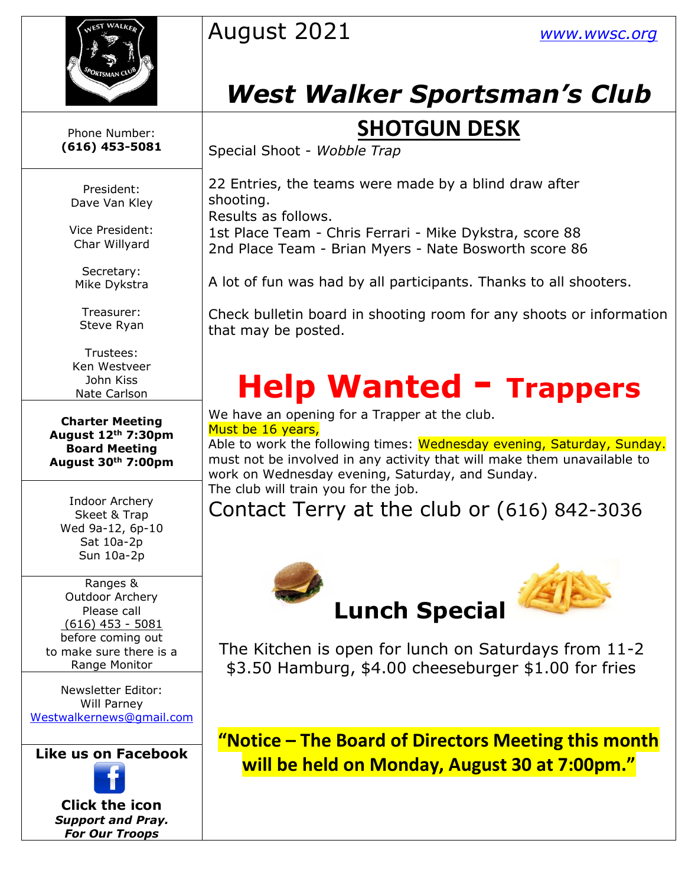

August 2021 *[www.wwsc.org](http://www.wwsc.org/)*

## *West Walker Sportsman's Club*

### **SHOTGUN DESK**

Special Shoot - *Wobble Trap*

22 Entries, the teams were made by a blind draw after shooting.

Results as follows.

1st Place Team - Chris Ferrari - Mike Dykstra, score 88 2nd Place Team - Brian Myers - Nate Bosworth score 86

A lot of fun was had by all participants. Thanks to all shooters.

Check bulletin board in shooting room for any shoots or information that may be posted.

# **Help Wanted - Trappers**

We have an opening for a Trapper at the club. Must be 16 years,

Able to work the following times: Wednesday evening, Saturday, Sunday. must not be involved in any activity that will make them unavailable to work on Wednesday evening, Saturday, and Sunday. The club will train you for the job.

Contact Terry at the club or (616) 842-3036



The Kitchen is open for lunch on Saturdays from 11-2 \$3.50 Ha[mbu](https://creativecommons.org/licenses/by-sa/3.0/)rg, \$4.00 cheeseburger \$1.00 for fries

**"Notice – The Board of Directors Meeting this month will be held on Monday, August 30 at 7:00pm."**

Phone Number: **(616) 453-5081**

President: Dave Van Kley

Vice President: Char Willyard

Secretary: Mike Dykstra

Treasurer: Steve Ryan

Trustees: Ken Westveer John Kiss Nate Carlson

**Charter Meeting August 12th 7:30pm Board Meeting August 30th 7:00pm**

Indoor Archery Skeet & Trap Wed 9a-12, 6p-10 Sat 10a-2p Sun 10a-2p

Ranges & Outdoor Archery Please call (616) 453 - 5081 before coming out to make sure there is a Range Monitor

Newsletter Editor: Will Parney [Westwalkernews@gmail.com](mailto:Westwalkernews@gmail.com)

**Like us [on Fa](https://www.facebook.com/WestWalkerSportsmansClub/)cebook**

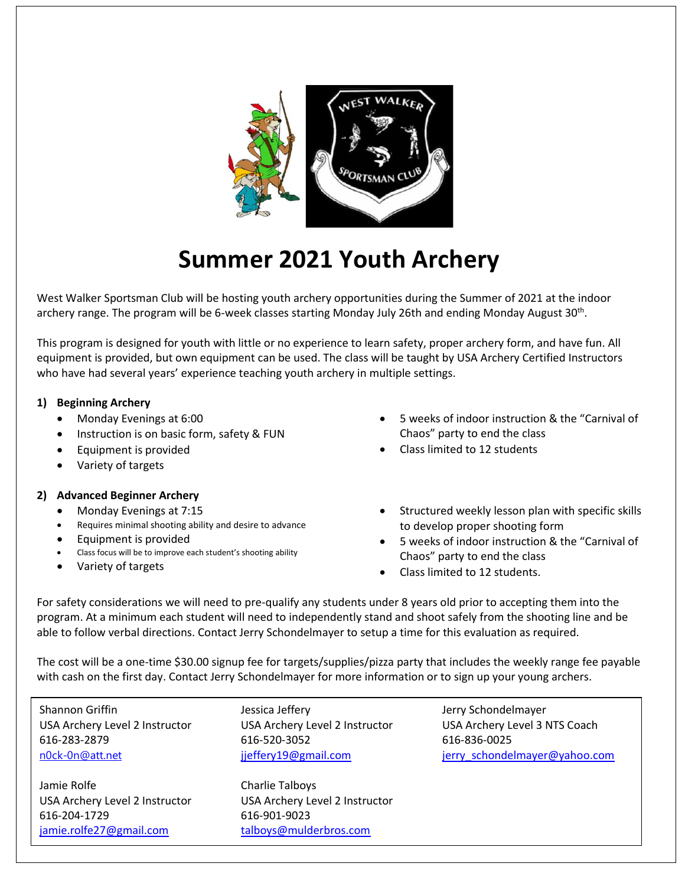

### **Summer 2021 Youth Archery**

West Walker Sportsman Club will be hosting youth archery opportunities during the Summer of 2021 at the indoor archery range. The program will be 6-week classes starting Monday July 26th and ending Monday August 30<sup>th</sup>.

This program is designed for youth with little or no experience to learn safety, proper archery form, and have fun. All equipment is provided, but own equipment can be used. The class will be taught by USA Archery Certified Instructors who have had several years' experience teaching youth archery in multiple settings.

#### **1) Beginning Archery**

- •Monday Evenings at 6:00
- •Instruction is on basic form, safety & FUN
- •Equipment is provided
- Variety of targets

#### **2) Advanced Beginner Archery**

- •Monday Evenings at 7:15
- •Requires minimal shooting ability and desire to advance
- •Equipment is provided
- •Class focus will be to improve each student's shooting ability
- •Variety of targets
- • 5 weeks of indoor instruction & the "Carnival of Chaos" party to end the class
- •Class limited to 12 students
- Structured weekly lesson plan with specific skills to develop proper shooting form
- • 5 weeks of indoor instruction & the "Carnival of Chaos" party to end the class
- Class limited to 12 students.

For safety considerations we will need to pre-qualify any students under 8 years old prior to accepting them into the program. At a minimum each student will need to independently stand and shoot safely from the shooting line and be able to follow verbal directions. Contact Jerry Schondelmayer to setup a time for this evaluation as required.

The cost will be a one-time \$30.00 signup fee for targets/supplies/pizza party that includes the weekly range fee payable with cash on the first day. Contact Jerry Schondelmayer for more information or to sign up your young archers.

Shannon Griffin **Jessica Jeffery** Jessica Jeffery Jerry Schondelmayer USA Archery Level 2 Instructor USA Archery Level 2 Instructor 616-283-2879 616-520-3052 616-836-0025 616-283-2879 616-520-3052 616-836-0025 [n0ck-0n@att.net](mailto:n0ck-0n@att.net) industrial intervention in the intervention of the intervention in the intervention of the in

Jamie Rolfe Charlie Talboys Jamie Rolfe Charlie Talboys USA Archery Level 2 Instructor USA Archery Level 2 Instructor USA Archery Level 2 Instructor USA Archery Level 2 Instructor 616-204-1729 616-901-9023 616-204-1729 616-901-9023 [jamie.rolfe27@gmail.com](mailto:jamie.rolfe27@gmail.com) [talboys@mulderbros.com](mailto:talboys@mulderbros.com)

USA Archery Level 3 NTS Coach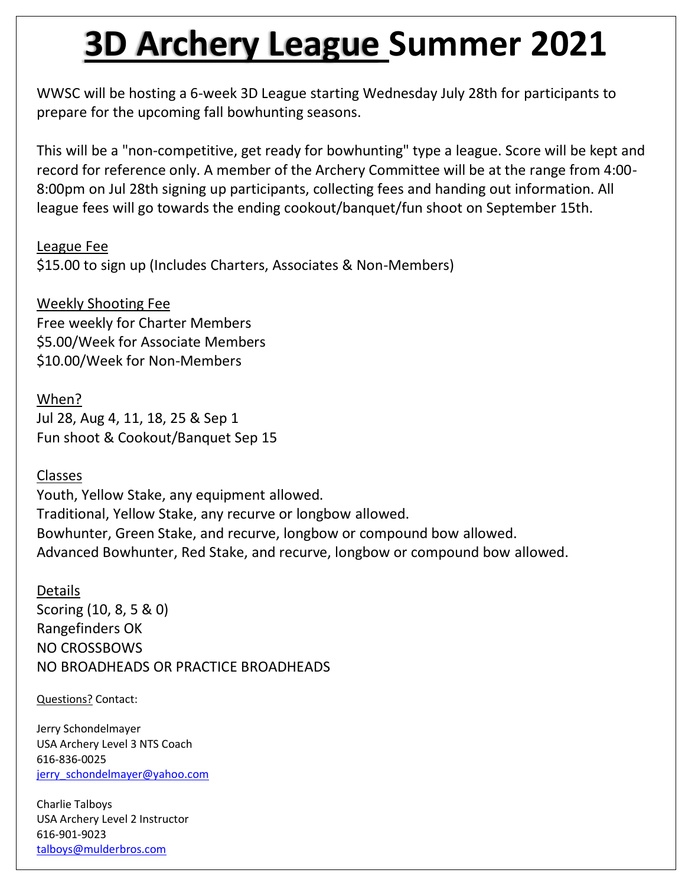# **3D Archery League Summer 2021**

WWSC will be hosting a 6-week 3D League starting Wednesday July 28th for participants to prepare for the upcoming fall bowhunting seasons.

This will be a "non-competitive, get ready for bowhunting" type a league. Score will be kept and record for reference only. A member of the Archery Committee will be at the range from 4:00- 8:00pm on Jul 28th signing up participants, collecting fees and handing out information. All league fees will go towards the ending cookout/banquet/fun shoot on September 15th.

League Fee

\$15.00 to sign up (Includes Charters, Associates & Non-Members)

Weekly Shooting Fee Free weekly for Charter Members \$5.00/Week for Associate Members \$10.00/Week for Non-Members

When? Jul 28, Aug 4, 11, 18, 25 & Sep 1 Fun shoot & Cookout/Banquet Sep 15

Classes

Youth, Yellow Stake, any equipment allowed. Traditional, Yellow Stake, any recurve or longbow allowed. Bowhunter, Green Stake, and recurve, longbow or compound bow allowed. Advanced Bowhunter, Red Stake, and recurve, longbow or compound bow allowed.

Details Scoring (10, 8, 5 & 0) Rangefinders OK NO CROSSBOWS NO BROADHEADS OR PRACTICE BROADHEADS

Questions? Contact:

Jerry Schondelmayer USA Archery Level 3 NTS Coach 616-836-0025 [jerry\\_schondelmayer@yahoo.com](mailto:jerry_schondelmayer@yahoo.com)

Charlie Talboys USA Archery Level 2 Instructor 616-901-9023 [talboys@mulderbros.com](mailto:talboys@mulderbros.com)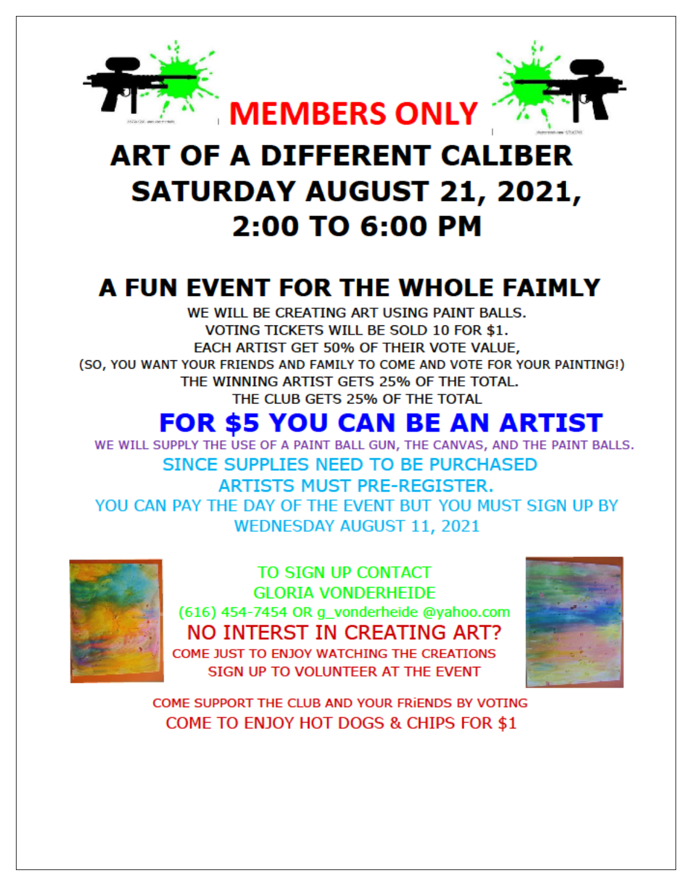

## **ART OF A DIFFERENT CALIBER SATURDAY AUGUST 21, 2021,** 2:00 TO 6:00 PM

### A FUN EVENT FOR THE WHOLE FAIMLY

WE WILL BE CREATING ART USING PAINT BALLS. VOTING TICKETS WILL BE SOLD 10 FOR \$1. EACH ARTIST GET 50% OF THEIR VOTE VALUE, (SO, YOU WANT YOUR FRIENDS AND FAMILY TO COME AND VOTE FOR YOUR PAINTING!) THE WINNING ARTIST GETS 25% OF THE TOTAL. THE CLUB GETS 25% OF THE TOTAL

### **FOR \$5 YOU CAN BE AN ARTIST**

WE WILL SUPPLY THE USE OF A PAINT BALL GUN, THE CANVAS, AND THE PAINT BALLS. SINCE SUPPLIES NEED TO BE PURCHASED **ARTISTS MUST PRE-REGISTER.** YOU CAN PAY THE DAY OF THE EVENT BUT YOU MUST SIGN UP BY **WEDNESDAY AUGUST 11, 2021** 



TO SIGN UP CONTACT **GLORIA VONDERHEIDE** (616) 454-7454 OR g\_vonderheide @yahoo.com NO INTERST IN CREATING ART? COME JUST TO ENJOY WATCHING THE CREATIONS SIGN UP TO VOLUNTEER AT THE EVENT



COME SUPPORT THE CLUB AND YOUR FRIENDS BY VOTING COME TO ENJOY HOT DOGS & CHIPS FOR \$1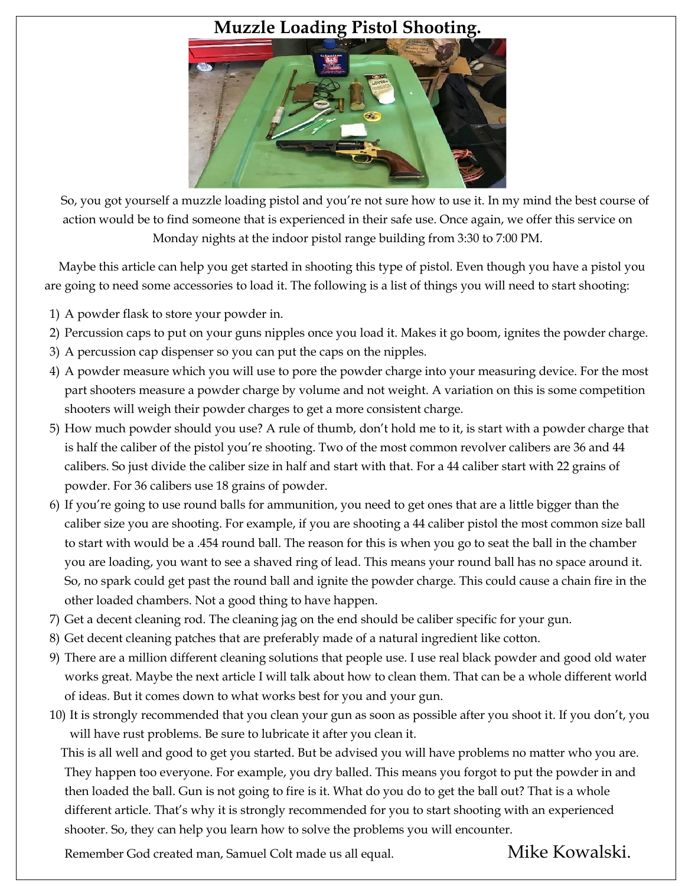#### **Muzzle Loading Pistol Shooting.**



 So, you got yourself a muzzle loading pistol and you're not sure how to use it. In my mind the best course of action would be to find someone that is experienced in their safe use. Once again, we offer this service on Monday nights at the indoor pistol range building from 3:30 to 7:00 PM.

 Maybe this article can help you get started in shooting this type of pistol. Even though you have a pistol you are going to need some accessories to load it. The following is a list of things you will need to start shooting:

- 1) A powder flask to store your powder in.
- 2) Percussion caps to put on your guns nipples once you load it. Makes it go boom, ignites the powder charge.
- 3) A percussion cap dispenser so you can put the caps on the nipples.
- 4) A powder measure which you will use to pore the powder charge into your measuring device. For the most part shooters measure a powder charge by volume and not weight. A variation on this is some competition shooters will weigh their powder charges to get a more consistent charge.
- 5) How much powder should you use? A rule of thumb, don't hold me to it, is start with a powder charge that is half the caliber of the pistol you're shooting. Two of the most common revolver calibers are 36 and 44 calibers. So just divide the caliber size in half and start with that. For a 44 caliber start with 22 grains of powder. For 36 calibers use 18 grains of powder.
- 6) If you're going to use round balls for ammunition, you need to get ones that are a little bigger than the caliber size you are shooting. For example, if you are shooting a 44 caliber pistol the most common size ball to start with would be a .454 round ball. The reason for this is when you go to seat the ball in the chamber you are loading, you want to see a shaved ring of lead. This means your round ball has no space around it. So, no spark could get past the round ball and ignite the powder charge. This could cause a chain fire in the other loaded chambers. Not a good thing to have happen.
- 7) Get a decent cleaning rod. The cleaning jag on the end should be caliber specific for your gun.
- 8) Get decent cleaning patches that are preferably made of a natural ingredient like cotton.
- 9) There are a million different cleaning solutions that people use. I use real black powder and good old water works great. Maybe the next article I will talk about how to clean them. That can be a whole different world of ideas. But it comes down to what works best for you and your gun.
- 10) It is strongly recommended that you clean your gun as soon as possible after you shoot it. If you don't, you will have rust problems. Be sure to lubricate it after you clean it.

 This is all well and good to get you started. But be advised you will have problems no matter who you are. They happen too everyone. For example, you dry balled. This means you forgot to put the powder in and then loaded the ball. Gun is not going to fire is it. What do you do to get the ball out? That is a whole different article. That's why it is strongly recommended for you to start shooting with an experienced shooter. So, they can help you learn how to solve the problems you will encounter.

Remember God created man, Samuel Colt made us all equal. Mike Kowalski.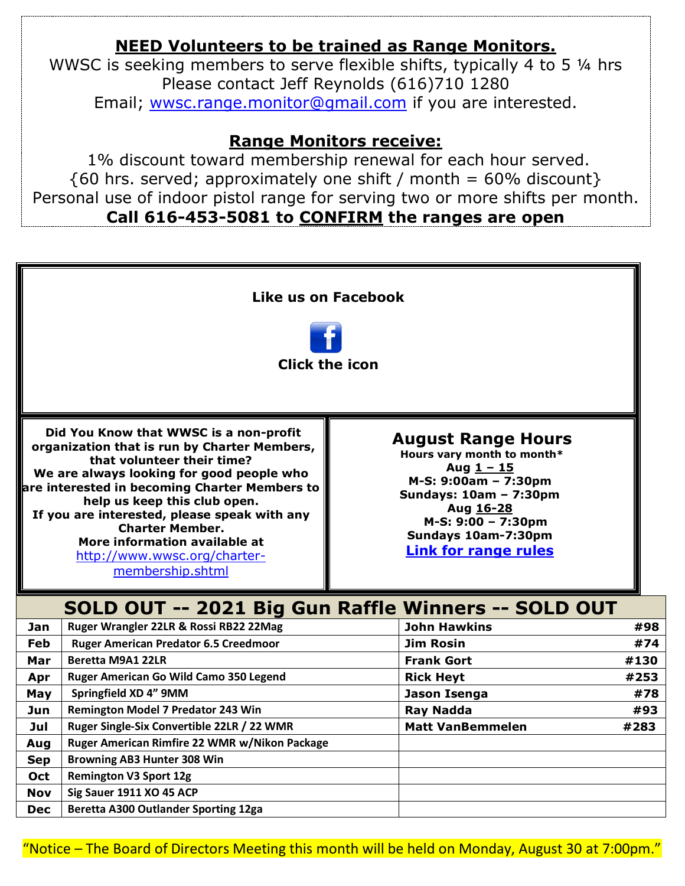#### **NEED Volunteers to be trained as Range Monitors.**

WWSC is seeking members to serve flexible shifts, typically 4 to 5 ¼ hrs Please contact Jeff Reynolds (616)710 1280 Email; [wwsc.range.monitor@gmail.com](mailto:wwsc.range.monitor@gmail.com) if you are interested.

#### **Range Monitors receive:**

1% discount toward membership renewal for each hour served.  $\{60 \text{ hrs. served}$ ; approximately one shift / month = 60% discount } Personal use of indoor pistol range for serving two or more shifts per month. **Call 616-453-5081 to CONFIRM the ranges are open**



"Notice – The Board of Directors Meeting this month will be held on Monday, August 30 at 7:00pm."